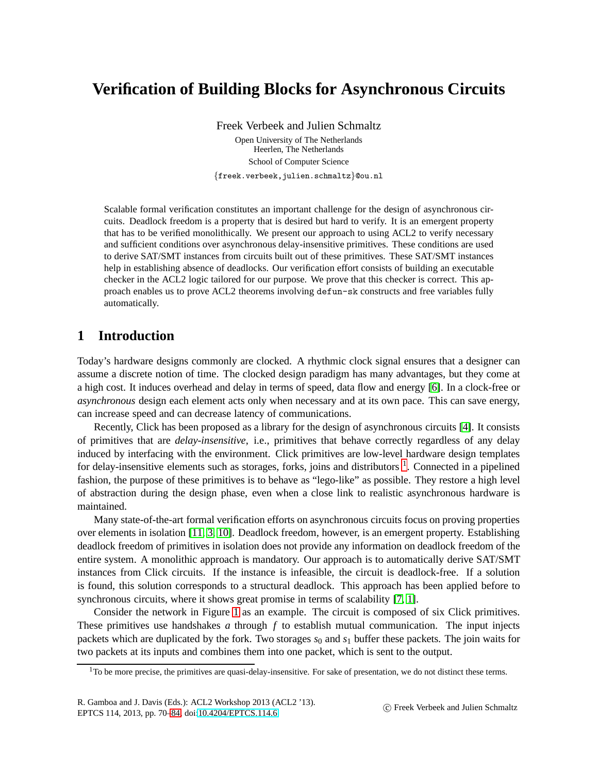# **Verification of Building Blocks for Asynchronous Circuits**

Freek Verbeek and Julien Schmaltz

Open University of The Netherlands Heerlen, The Netherlands School of Computer Science {freek.verbeek,julien.schmaltz}@ou.nl

Scalable formal verification constitutes an important challenge for the design of asynchronous circuits. Deadlock freedom is a property that is desired but hard to verify. It is an emergent property that has to be verified monolithically. We present our approach to using ACL2 to verify necessary and sufficient conditions over asynchronous delay-insensitive primitives. These conditions are used to derive SAT/SMT instances from circuits built out of these primitives. These SAT/SMT instances help in establishing absence of deadlocks. Our verification effort consists of building an executable checker in the ACL2 logic tailored for our purpose. We prove that this checker is correct. This approach enables us to prove ACL2 theorems involving defun-sk constructs and free variables fully automatically.

## **1 Introduction**

Today's hardware designs commonly are clocked. A rhythmic clock signal ensures that a designer can assume a discrete notion of time. The clocked design paradigm has many advantages, but they come at a high cost. It induces overhead and delay in terms of speed, data flow and energy [\[6\]](#page-14-1). In a clock-free or *asynchronous* design each element acts only when necessary and at its own pace. This can save energy, can increase speed and can decrease latency of communications.

Recently, Click has been proposed as a library for the design of asynchronous circuits [\[4\]](#page-14-2). It consists of primitives that are *delay-insensitive*, i.e., primitives that behave correctly regardless of any delay induced by interfacing with the environment. Click primitives are low-level hardware design templates for delay-insensitive elements such as storages, forks, joins and distributors <sup>[1](#page-0-0)</sup>. Connected in a pipelined fashion, the purpose of these primitives is to behave as "lego-like" as possible. They restore a high level of abstraction during the design phase, even when a close link to realistic asynchronous hardware is maintained.

Many state-of-the-art formal verification efforts on asynchronous circuits focus on proving properties over elements in isolation [\[11,](#page-14-3) [3,](#page-14-4) [10\]](#page-14-5). Deadlock freedom, however, is an emergent property. Establishing deadlock freedom of primitives in isolation does not provide any information on deadlock freedom of the entire system. A monolithic approach is mandatory. Our approach is to automatically derive SAT/SMT instances from Click circuits. If the instance is infeasible, the circuit is deadlock-free. If a solution is found, this solution corresponds to a structural deadlock. This approach has been applied before to synchronous circuits, where it shows great promise in terms of scalability [\[7,](#page-14-6) [1\]](#page-14-7).

Consider the network in Figure [1](#page-1-0) as an example. The circuit is composed of six Click primitives. These primitives use handshakes *a* through *f* to establish mutual communication. The input injects packets which are duplicated by the fork. Two storages  $s_0$  and  $s_1$  buffer these packets. The join waits for two packets at its inputs and combines them into one packet, which is sent to the output.

<span id="page-0-0"></span> $1$ To be more precise, the primitives are quasi-delay-insensitive. For sake of presentation, we do not distinct these terms.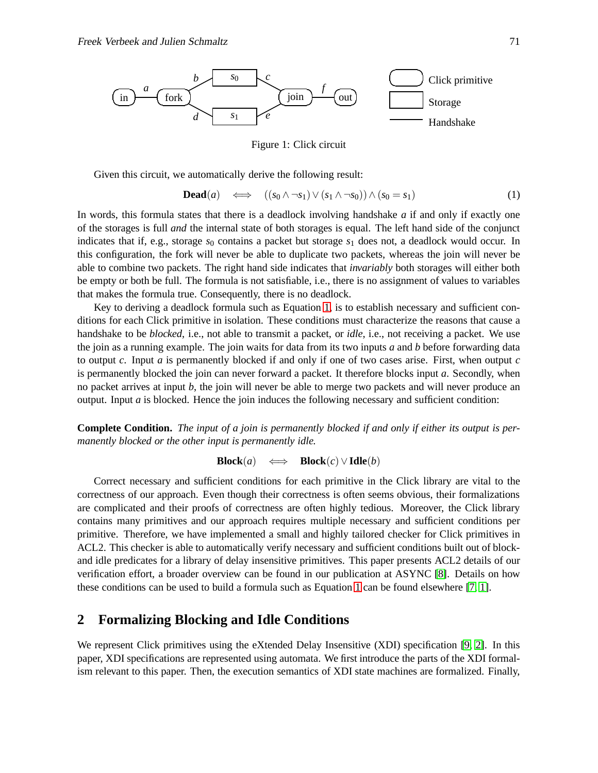

<span id="page-1-0"></span>Figure 1: Click circuit

Given this circuit, we automatically derive the following result:

<span id="page-1-1"></span>
$$
\textbf{Dead}(a) \quad \Longleftrightarrow \quad ((s_0 \land \neg s_1) \lor (s_1 \land \neg s_0)) \land (s_0 = s_1) \tag{1}
$$

In words, this formula states that there is a deadlock involving handshake *a* if and only if exactly one of the storages is full *and* the internal state of both storages is equal. The left hand side of the conjunct indicates that if, e.g., storage  $s_0$  contains a packet but storage  $s_1$  does not, a deadlock would occur. In this configuration, the fork will never be able to duplicate two packets, whereas the join will never be able to combine two packets. The right hand side indicates that *invariably* both storages will either both be empty or both be full. The formula is not satisfiable, i.e., there is no assignment of values to variables that makes the formula true. Consequently, there is no deadlock.

Key to deriving a deadlock formula such as Equation [1,](#page-1-1) is to establish necessary and sufficient conditions for each Click primitive in isolation. These conditions must characterize the reasons that cause a handshake to be *blocked*, i.e., not able to transmit a packet, or *idle*, i.e., not receiving a packet. We use the join as a running example. The join waits for data from its two inputs *a* and *b* before forwarding data to output *c*. Input *a* is permanently blocked if and only if one of two cases arise. First, when output *c* is permanently blocked the join can never forward a packet. It therefore blocks input *a*. Secondly, when no packet arrives at input *b*, the join will never be able to merge two packets and will never produce an output. Input *a* is blocked. Hence the join induces the following necessary and sufficient condition:

**Complete Condition.** *The input of a join is permanently blocked if and only if either its output is permanently blocked or the other input is permanently idle.*

**Block**(*a*)  $\iff$  **Block**(*c*)∨**Idle**(*b*)

Correct necessary and sufficient conditions for each primitive in the Click library are vital to the correctness of our approach. Even though their correctness is often seems obvious, their formalizations are complicated and their proofs of correctness are often highly tedious. Moreover, the Click library contains many primitives and our approach requires multiple necessary and sufficient conditions per primitive. Therefore, we have implemented a small and highly tailored checker for Click primitives in ACL2. This checker is able to automatically verify necessary and sufficient conditions built out of blockand idle predicates for a library of delay insensitive primitives. This paper presents ACL2 details of our verification effort, a broader overview can be found in our publication at ASYNC [\[8\]](#page-14-8). Details on how these conditions can be used to build a formula such as Equation [1](#page-1-1) can be found elsewhere [\[7,](#page-14-6) [1\]](#page-14-7).

## **2 Formalizing Blocking and Idle Conditions**

We represent Click primitives using the eXtended Delay Insensitive (XDI) specification [\[9,](#page-14-9) [2\]](#page-14-10). In this paper, XDI specifications are represented using automata. We first introduce the parts of the XDI formalism relevant to this paper. Then, the execution semantics of XDI state machines are formalized. Finally,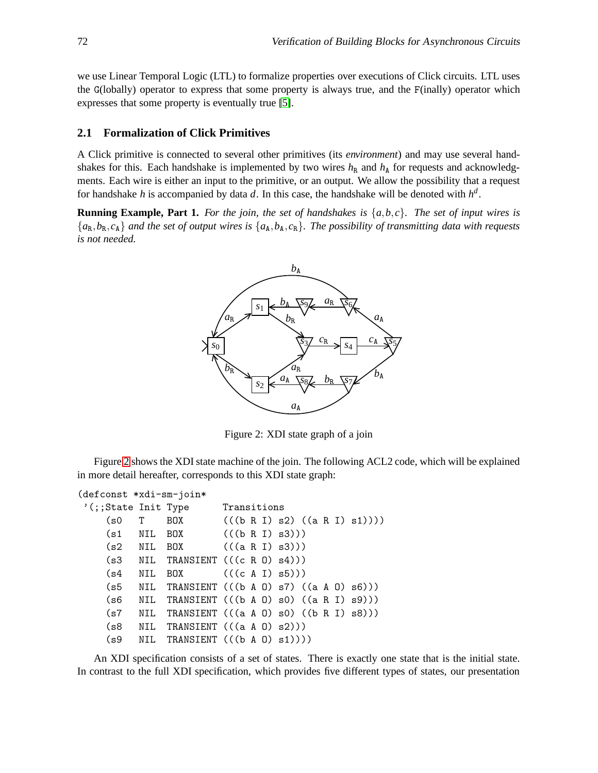we use Linear Temporal Logic (LTL) to formalize properties over executions of Click circuits. LTL uses the G(lobally) operator to express that some property is always true, and the F(inally) operator which expresses that some property is eventually true [\[5\]](#page-14-11).

#### **2.1 Formalization of Click Primitives**

A Click primitive is connected to several other primitives (its *environment*) and may use several handshakes for this. Each handshake is implemented by two wires  $h<sub>R</sub>$  and  $h<sub>A</sub>$  for requests and acknowledgments. Each wire is either an input to the primitive, or an output. We allow the possibility that a request for handshake *h* is accompanied by data *d*. In this case, the handshake will be denoted with *h d* .

**Running Example, Part 1.** For the join, the set of handshakes is  $\{a,b,c\}$ . The set of input wires is  ${a_R, b_R, c_A}$  *and the set of output wires is*  ${a_A, b_A, c_R}$ *. The possibility of transmitting data with requests is not needed.*



<span id="page-2-0"></span>Figure 2: XDI state graph of a join

Figure [2](#page-2-0) shows the XDI state machine of the join. The following ACL2 code, which will be explained in more detail hereafter, corresponds to this XDI state graph:

```
(defconst *xdi-sm-join*
'(;;State Init Type Transitions
    (s0 \tI \tB0X \t((b R I) s2) ((a R I) s1)))(s1 NIL BOX (((b R I) s3)))
    (s2 NIL BOX (((a R I) s3)))
    (s3 NIL TRANSIENT (((c R 0) s4)))(s4 NIL BOX (((c A I) s5)))
    (s5 NIL TRANSIENT (((b A 0) s7) ((a A 0) s6)))(s6 NIL TRANSIENT (((b A O) s0) ((a R I) s9)))
    (s7 NIL TRANSIENT (((a A 0) s0) ((b R I) s8)))(s8 NIL TRANSIENT (((a A 0) s2)))(s9 NIL TRANSIENT (((b A 0) s1))))
```
An XDI specification consists of a set of states. There is exactly one state that is the initial state. In contrast to the full XDI specification, which provides five different types of states, our presentation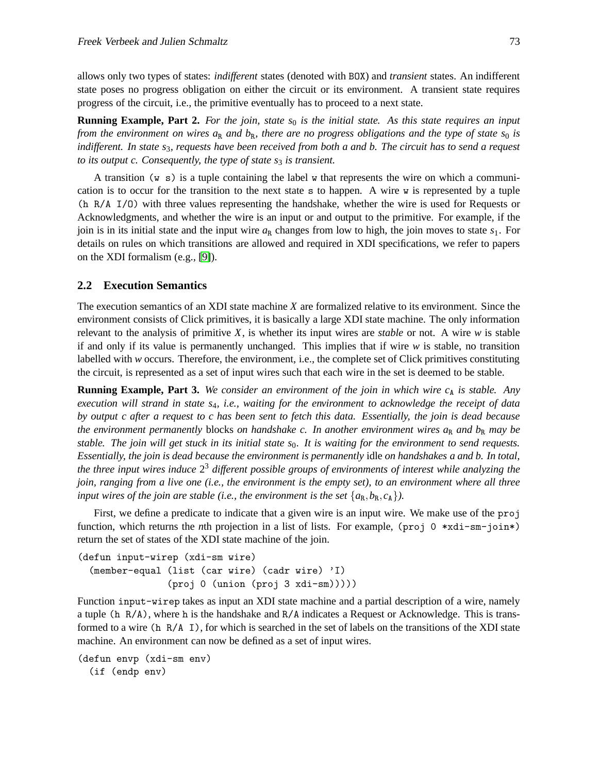allows only two types of states: *indifferent* states (denoted with BOX) and *transient* states. An indifferent state poses no progress obligation on either the circuit or its environment. A transient state requires progress of the circuit, i.e., the primitive eventually has to proceed to a next state.

**Running Example, Part 2.** For the join, state  $s_0$  is the initial state. As this state requires an input *from the environment on wires*  $a_R$  *and*  $b_R$ *, there are no progress obligations and the type of state*  $s_0$  *is indifferent. In state s*3*, requests have been received from both a and b. The circuit has to send a request to its output c. Consequently, the type of state s<sub>3</sub> is transient.* 

A transition (w s) is a tuple containing the label w that represents the wire on which a communication is to occur for the transition to the next state s to happen. A wire w is represented by a tuple (h R/A I/O) with three values representing the handshake, whether the wire is used for Requests or Acknowledgments, and whether the wire is an input or and output to the primitive. For example, if the join is in its initial state and the input wire  $a_R$  changes from low to high, the join moves to state  $s_1$ . For details on rules on which transitions are allowed and required in XDI specifications, we refer to papers on the XDI formalism (e.g., [\[9\]](#page-14-9)).

#### **2.2 Execution Semantics**

The execution semantics of an XDI state machine *X* are formalized relative to its environment. Since the environment consists of Click primitives, it is basically a large XDI state machine. The only information relevant to the analysis of primitive *X*, is whether its input wires are *stable* or not. A wire *w* is stable if and only if its value is permanently unchanged. This implies that if wire *w* is stable, no transition labelled with *w* occurs. Therefore, the environment, i.e., the complete set of Click primitives constituting the circuit, is represented as a set of input wires such that each wire in the set is deemed to be stable.

**Running Example, Part 3.** We consider an environment of the join in which wire  $c<sub>A</sub>$  is stable. Any *execution will strand in state s*4*, i.e., waiting for the environment to acknowledge the receipt of data by output c after a request to c has been sent to fetch this data. Essentially, the join is dead because the environment permanently blocks on handshake c. In another environment wires*  $a_R$  *and*  $b_R$  *may be stable. The join will get stuck in its initial state s*0*. It is waiting for the environment to send requests. Essentially, the join is dead because the environment is permanently* idle *on handshakes a and b. In total, the three input wires induce* 2 <sup>3</sup> *different possible groups of environments of interest while analyzing the join, ranging from a live one (i.e., the environment is the empty set), to an environment where all three input wires of the join are stable (i.e., the environment is the set*  $\{a_R, b_R, c_A\}$ ).

First, we define a predicate to indicate that a given wire is an input wire. We make use of the proj function, which returns the *n*th projection in a list of lists. For example, (proj 0 \*xdi-sm-join\*) return the set of states of the XDI state machine of the join.

```
(defun input-wirep (xdi-sm wire)
  (member-equal (list (car wire) (cadr wire) 'I)
                (proj 0 (union (proj 3 xdi-sm)))))
```
Function input-wirep takes as input an XDI state machine and a partial description of a wire, namely a tuple (h R/A), where h is the handshake and R/A indicates a Request or Acknowledge. This is transformed to a wire (h R/A I), for which is searched in the set of labels on the transitions of the XDI state machine. An environment can now be defined as a set of input wires.

```
(defun envp (xdi-sm env)
  (if (endp env)
```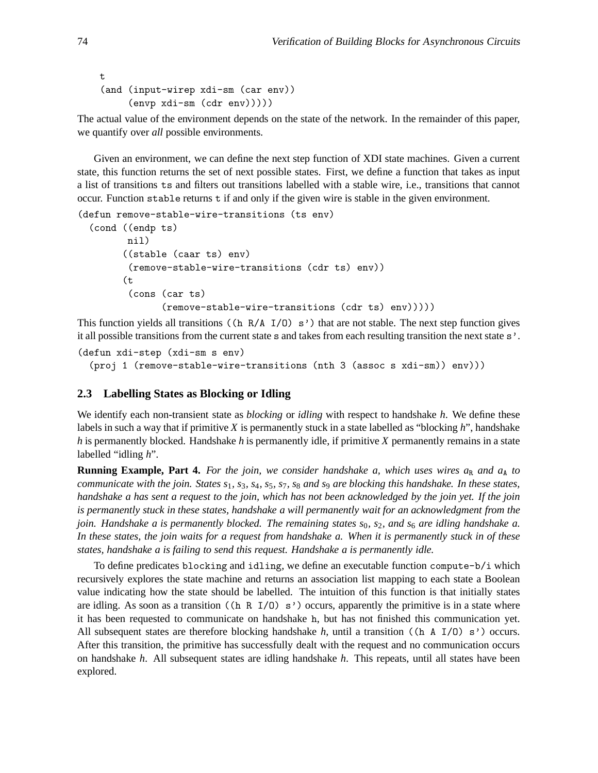```
t
(and (input-wirep xdi-sm (car env))
     (envp xdi-sm (cdr env)))))
```
The actual value of the environment depends on the state of the network. In the remainder of this paper, we quantify over *all* possible environments.

Given an environment, we can define the next step function of XDI state machines. Given a current state, this function returns the set of next possible states. First, we define a function that takes as input a list of transitions ts and filters out transitions labelled with a stable wire, i.e., transitions that cannot occur. Function stable returns t if and only if the given wire is stable in the given environment.

```
(defun remove-stable-wire-transitions (ts env)
  (cond ((endp ts)
        nil)
        ((stable (caar ts) env)
         (remove-stable-wire-transitions (cdr ts) env))
        (t
         (cons (car ts)
               (remove-stable-wire-transitions (cdr ts) env)))))
```
This function yields all transitions ((h  $R/A$  I/0) s<sup>'</sup>) that are not stable. The next step function gives it all possible transitions from the current state s and takes from each resulting transition the next state s'.

```
(defun xdi-step (xdi-sm s env)
  (proj 1 (remove-stable-wire-transitions (nth 3 (assoc s xdi-sm)) env)))
```
## **2.3 Labelling States as Blocking or Idling**

We identify each non-transient state as *blocking* or *idling* with respect to handshake *h*. We define these labels in such a way that if primitive *X* is permanently stuck in a state labelled as "blocking *h*", handshake *h* is permanently blocked. Handshake *h* is permanently idle, if primitive *X* permanently remains in a state labelled "idling *h*".

**Running Example, Part 4.** For the join, we consider handshake a, which uses wires  $a_R$  and  $a_A$  to *communicate with the join. States s*1*, s*3*, s*4*, s*5*, s*7*, s*<sup>8</sup> *and s*<sup>9</sup> *are blocking this handshake. In these states, handshake a has sent a request to the join, which has not been acknowledged by the join yet. If the join is permanently stuck in these states, handshake a will permanently wait for an acknowledgment from the join. Handshake a is permanently blocked. The remaining states s*0*, s*2*, and s*<sup>6</sup> *are idling handshake a. In these states, the join waits for a request from handshake a. When it is permanently stuck in of these states, handshake a is failing to send this request. Handshake a is permanently idle.*

To define predicates blocking and idling, we define an executable function compute-b/i which recursively explores the state machine and returns an association list mapping to each state a Boolean value indicating how the state should be labelled. The intuition of this function is that initially states are idling. As soon as a transition ((h R  $I/O$ ) s') occurs, apparently the primitive is in a state where it has been requested to communicate on handshake h, but has not finished this communication yet. All subsequent states are therefore blocking handshake *h*, until a transition ((h A I/O) s') occurs. After this transition, the primitive has successfully dealt with the request and no communication occurs on handshake *h*. All subsequent states are idling handshake *h*. This repeats, until all states have been explored.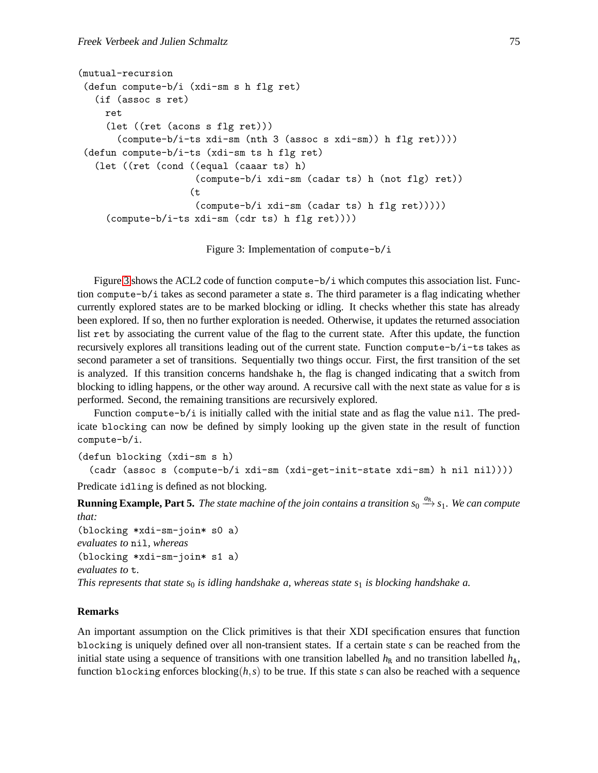```
(mutual-recursion
 (defun compute-b/i (xdi-sm s h flg ret)
   (if (assoc s ret)
    ret
     (let ((ret (acons s flg ret)))
       (compute-b/i-ts xdi-sm (nth 3 (assoc s xdi-sm)) h flg ret))))
 (defun compute-b/i-ts (xdi-sm ts h flg ret)
   (let ((ret (cond ((equal (caaar ts) h)
                     (compute-b/i xdi-sm (cadar ts) h (not flg) ret))
                    (t
                     (compute-b/i xdi-sm (cadar ts) h flg ret)))))
     (compute-b/i-ts xdi-sm (cdr ts) h flg ret))))
```
<span id="page-5-0"></span>Figure 3: Implementation of compute-b/i

Figure [3](#page-5-0) shows the ACL2 code of function compute- $b/i$  which computes this association list. Function compute-b/i takes as second parameter a state s. The third parameter is a flag indicating whether currently explored states are to be marked blocking or idling. It checks whether this state has already been explored. If so, then no further exploration is needed. Otherwise, it updates the returned association list ret by associating the current value of the flag to the current state. After this update, the function recursively explores all transitions leading out of the current state. Function compute-b/i-ts takes as second parameter a set of transitions. Sequentially two things occur. First, the first transition of the set is analyzed. If this transition concerns handshake h, the flag is changed indicating that a switch from blocking to idling happens, or the other way around. A recursive call with the next state as value for s is performed. Second, the remaining transitions are recursively explored.

Function compute-b/i is initially called with the initial state and as flag the value nil. The predicate blocking can now be defined by simply looking up the given state in the result of function compute-b/i.

(defun blocking (xdi-sm s h)

```
(cadr (assoc s (compute-b/i xdi-sm (xdi-get-init-state xdi-sm) h nil nil))))
```
Predicate idling is defined as not blocking.

**Running Example, Part 5.** The state machine of the join contains a transition  $s_0 \stackrel{d_R}{\rightarrow} s_1$ . We can compute *that:*

(blocking \*xdi-sm-join\* s0 a) *evaluates to* nil*, whereas* (blocking \*xdi-sm-join\* s1 a) *evaluates to* t*. This represents that state s*<sup>0</sup> *is idling handshake a, whereas state s*<sup>1</sup> *is blocking handshake a.*

## **Remarks**

An important assumption on the Click primitives is that their XDI specification ensures that function blocking is uniquely defined over all non-transient states. If a certain state *s* can be reached from the initial state using a sequence of transitions with one transition labelled  $h<sub>R</sub>$  and no transition labelled  $h<sub>A</sub>$ , function blocking enforces blocking( $h, s$ ) to be true. If this state *s* can also be reached with a sequence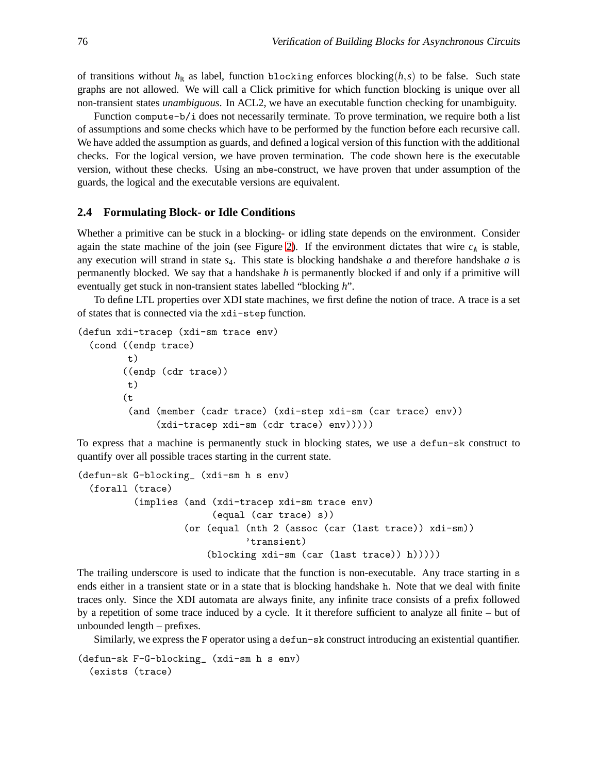of transitions without  $h_R$  as label, function blocking enforces blocking( $h, s$ ) to be false. Such state graphs are not allowed. We will call a Click primitive for which function blocking is unique over all non-transient states *unambiguous*. In ACL2, we have an executable function checking for unambiguity.

Function compute-b/i does not necessarily terminate. To prove termination, we require both a list of assumptions and some checks which have to be performed by the function before each recursive call. We have added the assumption as guards, and defined a logical version of this function with the additional checks. For the logical version, we have proven termination. The code shown here is the executable version, without these checks. Using an mbe-construct, we have proven that under assumption of the guards, the logical and the executable versions are equivalent.

#### **2.4 Formulating Block- or Idle Conditions**

Whether a primitive can be stuck in a blocking- or idling state depends on the environment. Consider again the state machine of the join (see Figure [2\)](#page-2-0). If the environment dictates that wire  $c<sub>A</sub>$  is stable, any execution will strand in state *s*4. This state is blocking handshake *a* and therefore handshake *a* is permanently blocked. We say that a handshake *h* is permanently blocked if and only if a primitive will eventually get stuck in non-transient states labelled "blocking *h*".

To define LTL properties over XDI state machines, we first define the notion of trace. A trace is a set of states that is connected via the xdi-step function.

```
(defun xdi-tracep (xdi-sm trace env)
  (cond ((endp trace)
        t)
        ((endp (cdr trace))
         t)
        (t
         (and (member (cadr trace) (xdi-step xdi-sm (car trace) env))
              (xdi-tracep xdi-sm (cdr trace) env)))))
```
To express that a machine is permanently stuck in blocking states, we use a defun-sk construct to quantify over all possible traces starting in the current state.

```
(defun-sk G-blocking_ (xdi-sm h s env)
  (forall (trace)
          (implies (and (xdi-tracep xdi-sm trace env)
                        (equal (car trace) s))
                   (or (equal (nth 2 (assoc (car (last trace)) xdi-sm))
                               'transient)
                       (blocking xdi-sm (car (last trace)) h)))))
```
The trailing underscore is used to indicate that the function is non-executable. Any trace starting in s ends either in a transient state or in a state that is blocking handshake h. Note that we deal with finite traces only. Since the XDI automata are always finite, any infinite trace consists of a prefix followed by a repetition of some trace induced by a cycle. It it therefore sufficient to analyze all finite – but of unbounded length – prefixes.

Similarly, we express the F operator using a defun-sk construct introducing an existential quantifier.

(defun-sk F-G-blocking\_ (xdi-sm h s env) (exists (trace)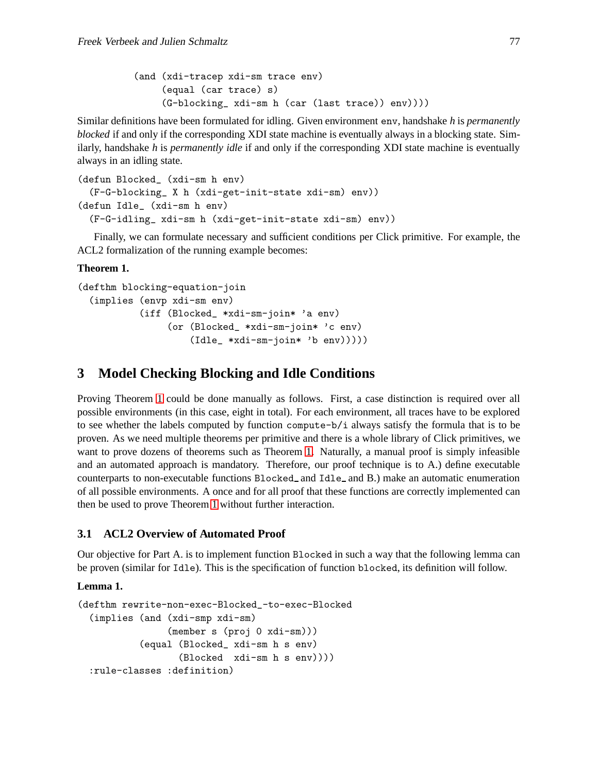```
(and (xdi-tracep xdi-sm trace env)
     (equal (car trace) s)
     (G-blocking_ xdi-sm h (car (last trace)) env))))
```
Similar definitions have been formulated for idling. Given environment env, handshake *h* is *permanently blocked* if and only if the corresponding XDI state machine is eventually always in a blocking state. Similarly, handshake *h* is *permanently idle* if and only if the corresponding XDI state machine is eventually always in an idling state.

```
(defun Blocked_ (xdi-sm h env)
  (F-G-blocking_ X h (xdi-get-init-state xdi-sm) env))
(defun Idle_ (xdi-sm h env)
  (F-G-idling_ xdi-sm h (xdi-get-init-state xdi-sm) env))
```
<span id="page-7-0"></span>Finally, we can formulate necessary and sufficient conditions per Click primitive. For example, the ACL2 formalization of the running example becomes:

### **Theorem 1.**

```
(defthm blocking-equation-join
  (implies (envp xdi-sm env)
           (iff (Blocked_ *xdi-sm-join* 'a env)
                (or (Blocked_ *xdi-sm-join* 'c env)
                    (Idle_ *xdi-sm-join* 'b env)))))
```
## **3 Model Checking Blocking and Idle Conditions**

Proving Theorem [1](#page-7-0) could be done manually as follows. First, a case distinction is required over all possible environments (in this case, eight in total). For each environment, all traces have to be explored to see whether the labels computed by function compute- $b/i$  always satisfy the formula that is to be proven. As we need multiple theorems per primitive and there is a whole library of Click primitives, we want to prove dozens of theorems such as Theorem [1.](#page-7-0) Naturally, a manual proof is simply infeasible and an automated approach is mandatory. Therefore, our proof technique is to A.) define executable counterparts to non-executable functions Blocked and Idle and B.) make an automatic enumeration of all possible environments. A once and for all proof that these functions are correctly implemented can then be used to prove Theorem [1](#page-7-0) without further interaction.

## **3.1 ACL2 Overview of Automated Proof**

<span id="page-7-1"></span>Our objective for Part A. is to implement function Blocked in such a way that the following lemma can be proven (similar for Idle). This is the specification of function blocked, its definition will follow.

## **Lemma 1.**

```
(defthm rewrite-non-exec-Blocked_-to-exec-Blocked
 (implies (and (xdi-smp xdi-sm)
                (member s (proj 0 xdi-sm)))
           (equal (Blocked_ xdi-sm h s env)
                  (Blocked xdi-sm h s env))))
 :rule-classes :definition)
```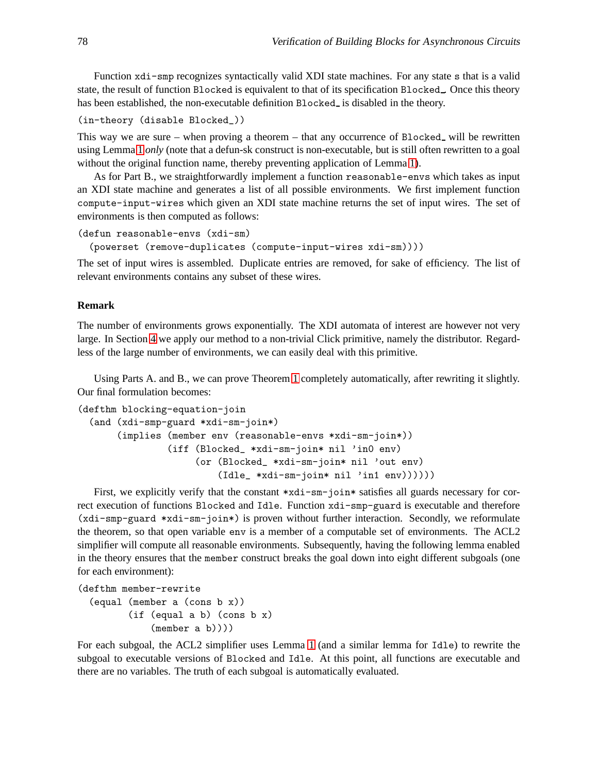Function xdi-smp recognizes syntactically valid XDI state machines. For any state s that is a valid state, the result of function Blocked is equivalent to that of its specification Blocked . Once this theory has been established, the non-executable definition Blocked<sub>-</sub> is disabled in the theory.

```
(in-theory (disable Blocked_))
```
This way we are sure – when proving a theorem – that any occurrence of Blocked will be rewritten using Lemma [1](#page-7-1) *only* (note that a defun-sk construct is non-executable, but is still often rewritten to a goal without the original function name, thereby preventing application of Lemma [1\)](#page-7-1).

As for Part B., we straightforwardly implement a function reasonable-envs which takes as input an XDI state machine and generates a list of all possible environments. We first implement function compute-input-wires which given an XDI state machine returns the set of input wires. The set of environments is then computed as follows:

```
(defun reasonable-envs (xdi-sm)
```

```
(powerset (remove-duplicates (compute-input-wires xdi-sm))))
```
The set of input wires is assembled. Duplicate entries are removed, for sake of efficiency. The list of relevant environments contains any subset of these wires.

### **Remark**

The number of environments grows exponentially. The XDI automata of interest are however not very large. In Section [4](#page-12-0) we apply our method to a non-trivial Click primitive, namely the distributor. Regardless of the large number of environments, we can easily deal with this primitive.

Using Parts A. and B., we can prove Theorem [1](#page-7-0) completely automatically, after rewriting it slightly. Our final formulation becomes:

```
(defthm blocking-equation-join
  (and (xdi-smp-guard *xdi-sm-join*)
       (implies (member env (reasonable-envs *xdi-sm-join*))
                (iff (Blocked_ *xdi-sm-join* nil 'in0 env)
                     (or (Blocked_ *xdi-sm-join* nil 'out env)
                         (Idle_ *xdi-sm-join* nil 'in1 env))))))
```
First, we explicitly verify that the constant \*xdi-sm-join\* satisfies all guards necessary for correct execution of functions Blocked and Idle. Function xdi-smp-guard is executable and therefore (xdi-smp-guard \*xdi-sm-join\*) is proven without further interaction. Secondly, we reformulate the theorem, so that open variable env is a member of a computable set of environments. The ACL2 simplifier will compute all reasonable environments. Subsequently, having the following lemma enabled in the theory ensures that the member construct breaks the goal down into eight different subgoals (one for each environment):

```
(defthm member-rewrite
```
(equal (member a (cons b x)) (if (equal a b) (cons b x) (member a b))))

For each subgoal, the ACL2 simplifier uses Lemma [1](#page-7-1) (and a similar lemma for Idle) to rewrite the subgoal to executable versions of Blocked and Idle. At this point, all functions are executable and there are no variables. The truth of each subgoal is automatically evaluated.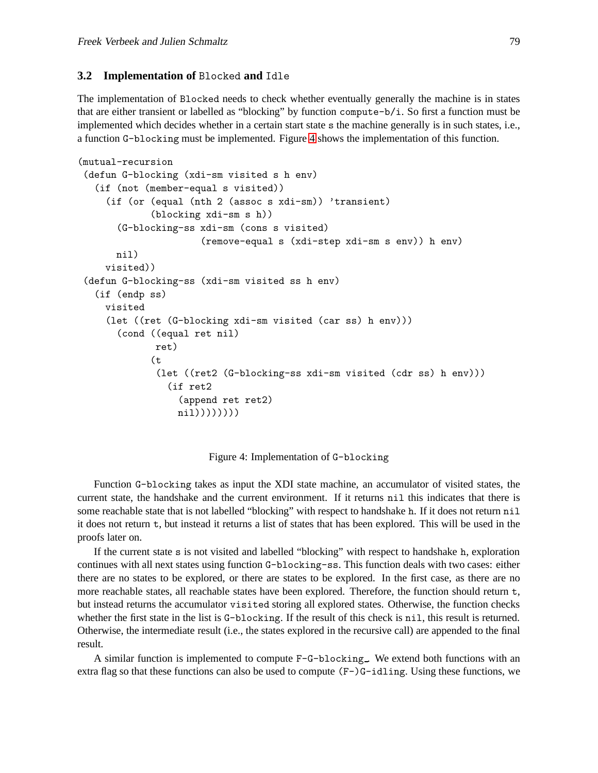## **3.2 Implementation of** Blocked **and** Idle

The implementation of Blocked needs to check whether eventually generally the machine is in states that are either transient or labelled as "blocking" by function compute-b/i. So first a function must be implemented which decides whether in a certain start state s the machine generally is in such states, i.e., a function G-blocking must be implemented. Figure [4](#page-9-0) shows the implementation of this function.

```
(mutual-recursion
 (defun G-blocking (xdi-sm visited s h env)
   (if (not (member-equal s visited))
     (if (or (equal (nth 2 (assoc s xdi-sm)) 'transient)
             (blocking xdi-sm s h))
       (G-blocking-ss xdi-sm (cons s visited)
                      (remove-equal s (xdi-step xdi-sm s env)) h env)
       nil)
     visited))
 (defun G-blocking-ss (xdi-sm visited ss h env)
   (if (endp ss)
     visited
     (let ((ret (G-blocking xdi-sm visited (car ss) h env)))
       (cond ((equal ret nil)
              ret)
             (t
              (let ((ret2 (G-blocking-ss xdi-sm visited (cdr ss) h env)))
                (if ret2
                  (append ret ret2)
                  nil))))))))
```
<span id="page-9-0"></span>Figure 4: Implementation of G-blocking

Function G-blocking takes as input the XDI state machine, an accumulator of visited states, the current state, the handshake and the current environment. If it returns nil this indicates that there is some reachable state that is not labelled "blocking" with respect to handshake h. If it does not return nil it does not return t, but instead it returns a list of states that has been explored. This will be used in the proofs later on.

If the current state s is not visited and labelled "blocking" with respect to handshake h, exploration continues with all next states using function G-blocking-ss. This function deals with two cases: either there are no states to be explored, or there are states to be explored. In the first case, as there are no more reachable states, all reachable states have been explored. Therefore, the function should return t, but instead returns the accumulator visited storing all explored states. Otherwise, the function checks whether the first state in the list is G-blocking. If the result of this check is nil, this result is returned. Otherwise, the intermediate result (i.e., the states explored in the recursive call) are appended to the final result.

A similar function is implemented to compute  $F-G-blocking$ . We extend both functions with an extra flag so that these functions can also be used to compute  $(F-)$  G-idling. Using these functions, we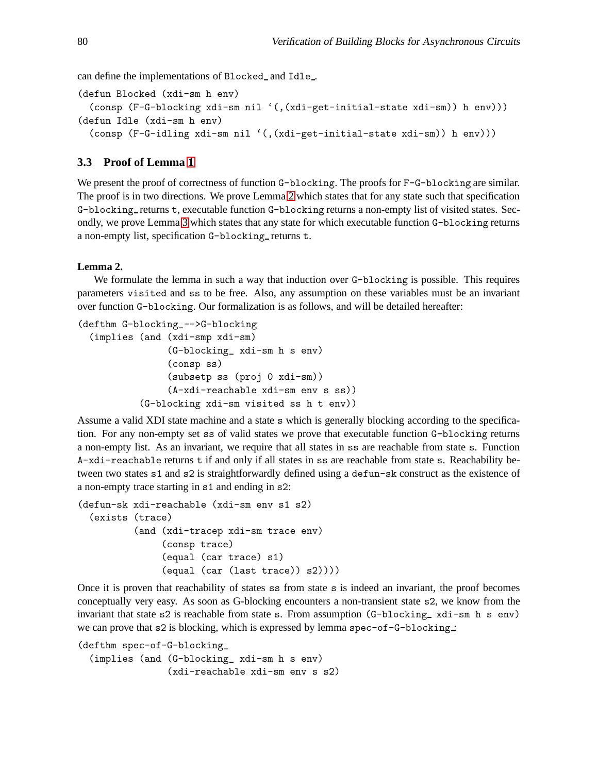can define the implementations of Blocked and Idle .

```
(defun Blocked (xdi-sm h env)
  (consp (F-G-blocking xdi-sm nil '(,(xdi-get-initial-state xdi-sm)) h env)))
(defun Idle (xdi-sm h env)
  (consp (F-G-idling xdi-sm nil '(,(xdi-get-initial-state xdi-sm)) h env)))
```
## **3.3 Proof of Lemma [1](#page-7-1)**

We present the proof of correctness of function G-blocking. The proofs for F-G-blocking are similar. The proof is in two directions. We prove Lemma [2](#page-10-0) which states that for any state such that specification G-blocking returns t, executable function G-blocking returns a non-empty list of visited states. Secondly, we prove Lemma [3](#page-11-0) which states that any state for which executable function G-blocking returns a non-empty list, specification G-blocking\_returns t.

#### <span id="page-10-0"></span>**Lemma 2.**

We formulate the lemma in such a way that induction over G-blocking is possible. This requires parameters visited and ss to be free. Also, any assumption on these variables must be an invariant over function G-blocking. Our formalization is as follows, and will be detailed hereafter:

```
(defthm G-blocking_-->G-blocking
  (implies (and (xdi-smp xdi-sm)
                (G-blocking_ xdi-sm h s env)
                (consp ss)
                (subsetp ss (proj 0 xdi-sm))
                (A-xdi-reachable xdi-sm env s ss))
           (G-blocking xdi-sm visited ss h t env))
```
Assume a valid XDI state machine and a state s which is generally blocking according to the specification. For any non-empty set ss of valid states we prove that executable function G-blocking returns a non-empty list. As an invariant, we require that all states in ss are reachable from state s. Function A-xdi-reachable returns t if and only if all states in ss are reachable from state s. Reachability between two states s1 and s2 is straightforwardly defined using a defun-sk construct as the existence of a non-empty trace starting in s1 and ending in s2:

```
(defun-sk xdi-reachable (xdi-sm env s1 s2)
  (exists (trace)
          (and (xdi-tracep xdi-sm trace env)
               (consp trace)
               (equal (car trace) s1)
               (equal (car (last trace)) s2))))
```
Once it is proven that reachability of states ss from state s is indeed an invariant, the proof becomes conceptually very easy. As soon as G-blocking encounters a non-transient state s2, we know from the invariant that state  $s2$  is reachable from state s. From assumption (G-blocking xdi-sm h s env) we can prove that  $s2$  is blocking, which is expressed by lemma  $spec-of-G-blocking$ .

(defthm spec-of-G-blocking\_ (implies (and (G-blocking\_ xdi-sm h s env) (xdi-reachable xdi-sm env s s2)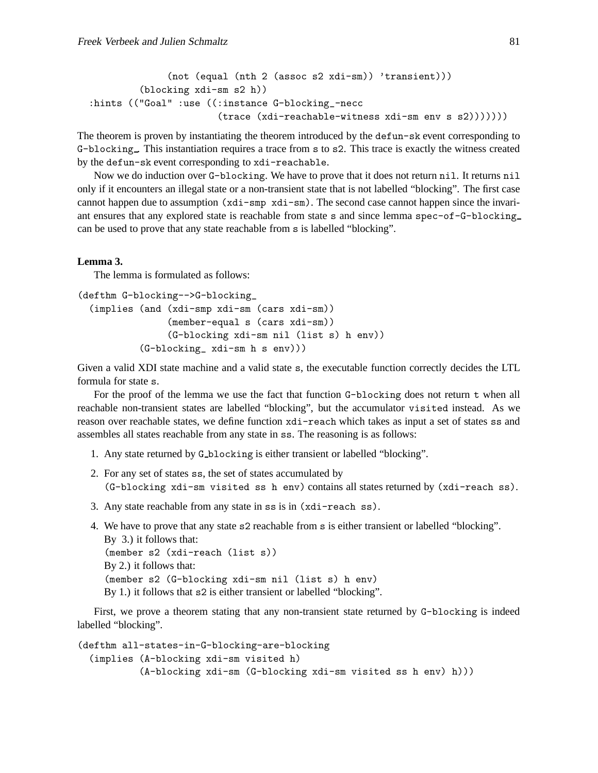```
(not (equal (nth 2 (assoc s2 xdi-sm)) 'transient)))
         (blocking xdi-sm s2 h))
:hints (("Goal" :use ((:instance G-blocking_-necc
                       (trace (xdi-reachable-witness xdi-sm env s s2)))))))
```
The theorem is proven by instantiating the theorem introduced by the defun-sk event corresponding to G-blocking. This instantiation requires a trace from s to s2. This trace is exactly the witness created by the defun-sk event corresponding to xdi-reachable.

Now we do induction over G-blocking. We have to prove that it does not return nil. It returns nil only if it encounters an illegal state or a non-transient state that is not labelled "blocking". The first case cannot happen due to assumption (xdi-smp xdi-sm). The second case cannot happen since the invariant ensures that any explored state is reachable from state s and since lemma spec-of-G-blocking can be used to prove that any state reachable from s is labelled "blocking".

#### <span id="page-11-0"></span>**Lemma 3.**

The lemma is formulated as follows:

```
(defthm G-blocking-->G-blocking_
  (implies (and (xdi-smp xdi-sm (cars xdi-sm))
                (member-equal s (cars xdi-sm))
                (G-blocking xdi-sm nil (list s) h env))
           (G-blocking_ xdi-sm h s env)))
```
Given a valid XDI state machine and a valid state s, the executable function correctly decides the LTL formula for state s.

For the proof of the lemma we use the fact that function G-blocking does not return t when all reachable non-transient states are labelled "blocking", but the accumulator visited instead. As we reason over reachable states, we define function xdi-reach which takes as input a set of states ss and assembles all states reachable from any state in ss. The reasoning is as follows:

- 1. Any state returned by G blocking is either transient or labelled "blocking".
- 2. For any set of states ss, the set of states accumulated by (G-blocking xdi-sm visited ss h env) contains all states returned by (xdi-reach ss).
- 3. Any state reachable from any state in ss is in (xdi-reach ss).
- 4. We have to prove that any state s2 reachable from s is either transient or labelled "blocking". By 3.) it follows that: (member s2 (xdi-reach (list s)) By 2.) it follows that: (member s2 (G-blocking xdi-sm nil (list s) h env) By 1.) it follows that s2 is either transient or labelled "blocking".

First, we prove a theorem stating that any non-transient state returned by G-blocking is indeed labelled "blocking".

```
(defthm all-states-in-G-blocking-are-blocking
  (implies (A-blocking xdi-sm visited h)
           (A-blocking xdi-sm (G-blocking xdi-sm visited ss h env) h)))
```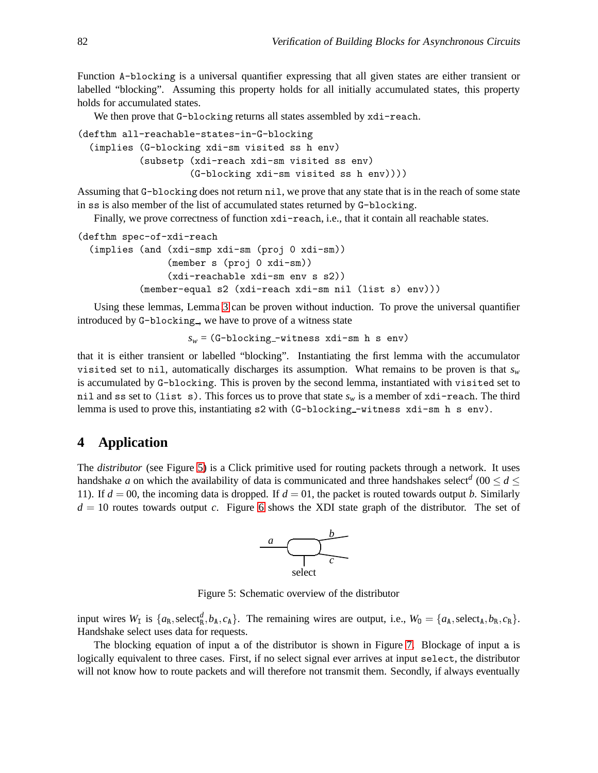Function A-blocking is a universal quantifier expressing that all given states are either transient or labelled "blocking". Assuming this property holds for all initially accumulated states, this property holds for accumulated states.

We then prove that G-blocking returns all states assembled by  $xdi$ -reach.

```
(defthm all-reachable-states-in-G-blocking
  (implies (G-blocking xdi-sm visited ss h env)
           (subsetp (xdi-reach xdi-sm visited ss env)
                    (G-blocking xdi-sm visited ss h env))))
```
Assuming that G-blocking does not return nil, we prove that any state that is in the reach of some state in ss is also member of the list of accumulated states returned by G-blocking.

Finally, we prove correctness of function  $xdi$ -reach, i.e., that it contain all reachable states.

```
(defthm spec-of-xdi-reach
  (implies (and (xdi-smp xdi-sm (proj 0 xdi-sm))
                (member s (proj 0 xdi-sm))
                (xdi-reachable xdi-sm env s s2))
           (member-equal s2 (xdi-reach xdi-sm nil (list s) env)))
```
Using these lemmas, Lemma [3](#page-11-0) can be proven without induction. To prove the universal quantifier introduced by G-blocking<sub>,</sub> we have to prove of a witness state

 $s_w = (G-\text{blocking}-\text{witness xdi-sm h s env})$ 

that it is either transient or labelled "blocking". Instantiating the first lemma with the accumulator visited set to nil, automatically discharges its assumption. What remains to be proven is that *s<sup>w</sup>* is accumulated by G-blocking. This is proven by the second lemma, instantiated with visited set to nil and ss set to (list s). This forces us to prove that state  $s_w$  is a member of xdi-reach. The third lemma is used to prove this, instantiating s2 with (G-blocking -witness xdi-sm h s env).

## <span id="page-12-0"></span>**4 Application**

The *distributor* (see Figure [5\)](#page-12-1) is a Click primitive used for routing packets through a network. It uses handshake *a* on which the availability of data is communicated and three handshakes select<sup>*d*</sup> (00  $\leq$  *d*  $\leq$ 11). If  $d = 00$ , the incoming data is dropped. If  $d = 01$ , the packet is routed towards output *b*. Similarly  $d = 10$  routes towards output *c*. Figure [6](#page-13-0) shows the XDI state graph of the distributor. The set of



<span id="page-12-1"></span>Figure 5: Schematic overview of the distributor

input wires  $W_{\text{I}}$  is  $\{a_{\text{R}}\text{,select}_{\text{R}}^d, b_{\text{A}}\text{, }c_{\text{A}}\}$ . The remaining wires are output, i.e.,  $W_0 = \{a_{\text{A}}\text{,select}_{\text{A}}\text{, }b_{\text{R}}\text{, }c_{\text{R}}\}$ . Handshake select uses data for requests.

The blocking equation of input a of the distributor is shown in Figure [7.](#page-13-1) Blockage of input a is logically equivalent to three cases. First, if no select signal ever arrives at input select, the distributor will not know how to route packets and will therefore not transmit them. Secondly, if always eventually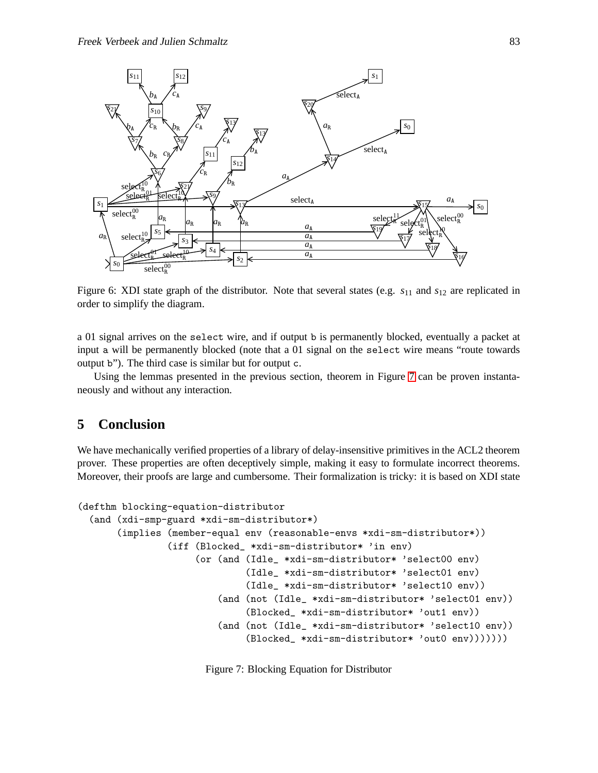

<span id="page-13-0"></span>Figure 6: XDI state graph of the distributor. Note that several states (e.g. *s*<sup>11</sup> and *s*<sup>12</sup> are replicated in order to simplify the diagram.

a 01 signal arrives on the select wire, and if output b is permanently blocked, eventually a packet at input a will be permanently blocked (note that a 01 signal on the select wire means "route towards output b"). The third case is similar but for output c.

Using the lemmas presented in the previous section, theorem in Figure [7](#page-13-1) can be proven instantaneously and without any interaction.

## **5 Conclusion**

We have mechanically verified properties of a library of delay-insensitive primitives in the ACL2 theorem prover. These properties are often deceptively simple, making it easy to formulate incorrect theorems. Moreover, their proofs are large and cumbersome. Their formalization is tricky: it is based on XDI state

```
(defthm blocking-equation-distributor
  (and (xdi-smp-guard *xdi-sm-distributor*)
       (implies (member-equal env (reasonable-envs *xdi-sm-distributor*))
                (iff (Blocked_ *xdi-sm-distributor* 'in env)
                     (or (and (Idle_ *xdi-sm-distributor* 'select00 env)
                              (Idle_ *xdi-sm-distributor* 'select01 env)
                              (Idle_ *xdi-sm-distributor* 'select10 env))
                         (and (not (Idle_ *xdi-sm-distributor* 'select01 env))
                              (Blocked_ *xdi-sm-distributor* 'out1 env))
                         (and (not (Idle_ *xdi-sm-distributor* 'select10 env))
                              (Blocked_ *xdi-sm-distributor* 'out0 env)))))))
```
<span id="page-13-1"></span>